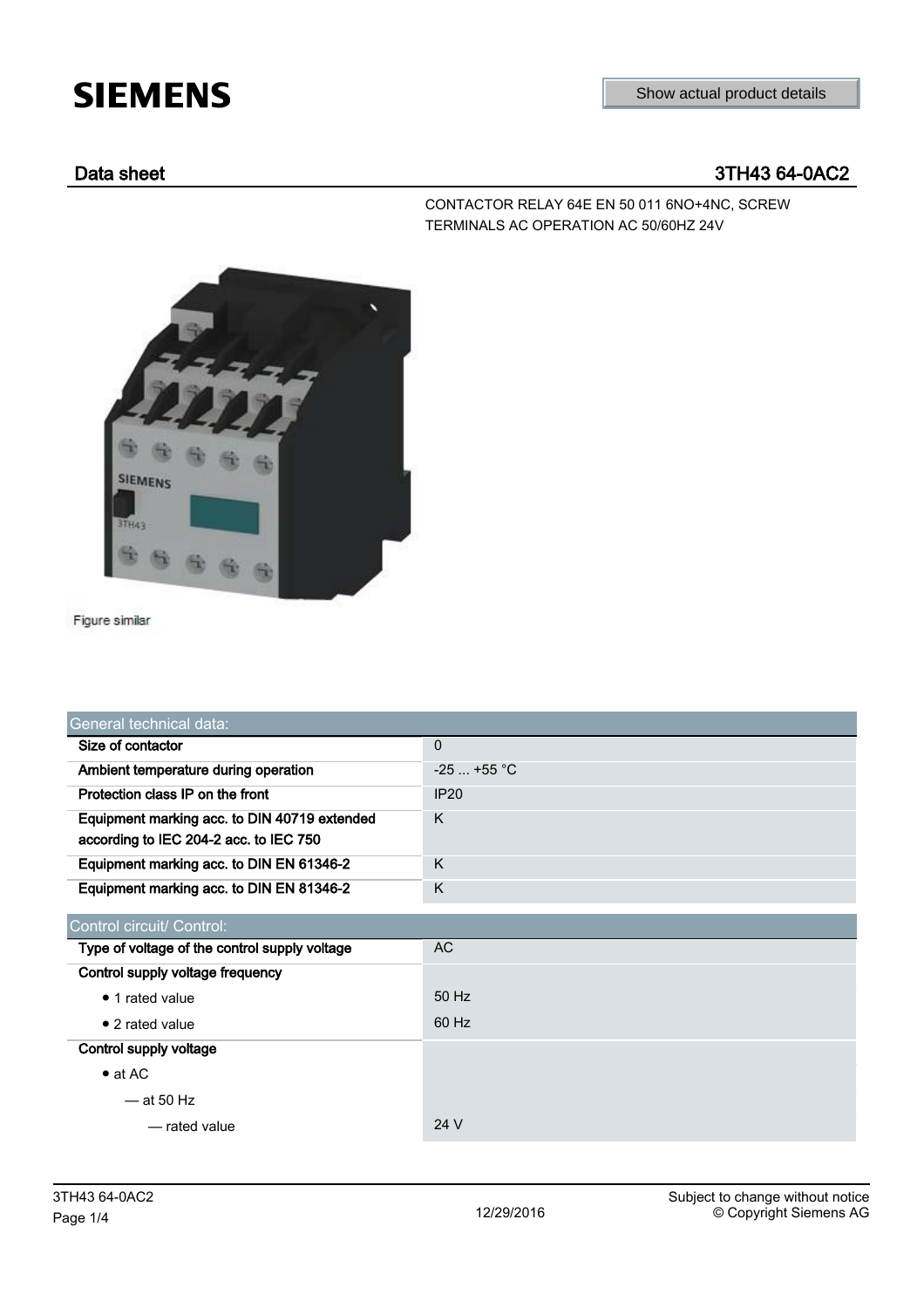# **SIEMENS**

# Data sheet 3TH43 64-0AC2

CONTACTOR RELAY 64E EN 50 011 6NO+4NC, SCREW TERMINALS AC OPERATION AC 50/60HZ 24V



Figure similar

| General technical data:                                                                |              |  |
|----------------------------------------------------------------------------------------|--------------|--|
| Size of contactor                                                                      | 0            |  |
| Ambient temperature during operation                                                   | $-25$ +55 °C |  |
| Protection class IP on the front                                                       | IP20         |  |
| Equipment marking acc. to DIN 40719 extended<br>according to IEC 204-2 acc. to IEC 750 | K            |  |
| Equipment marking acc. to DIN EN 61346-2                                               | K            |  |
| Equipment marking acc. to DIN EN 81346-2                                               | K            |  |
| Control circuit/ Control:                                                              |              |  |
| Type of voltage of the control supply voltage                                          | <b>AC</b>    |  |
| Control supply voltage frequency                                                       |              |  |
| • 1 rated value                                                                        | 50 Hz        |  |
| $\bullet$ 2 rated value                                                                | 60 Hz        |  |
| Control supply voltage                                                                 |              |  |
| $\bullet$ at AC                                                                        |              |  |
| $-$ at 50 Hz                                                                           |              |  |
| - rated value                                                                          | 24 V         |  |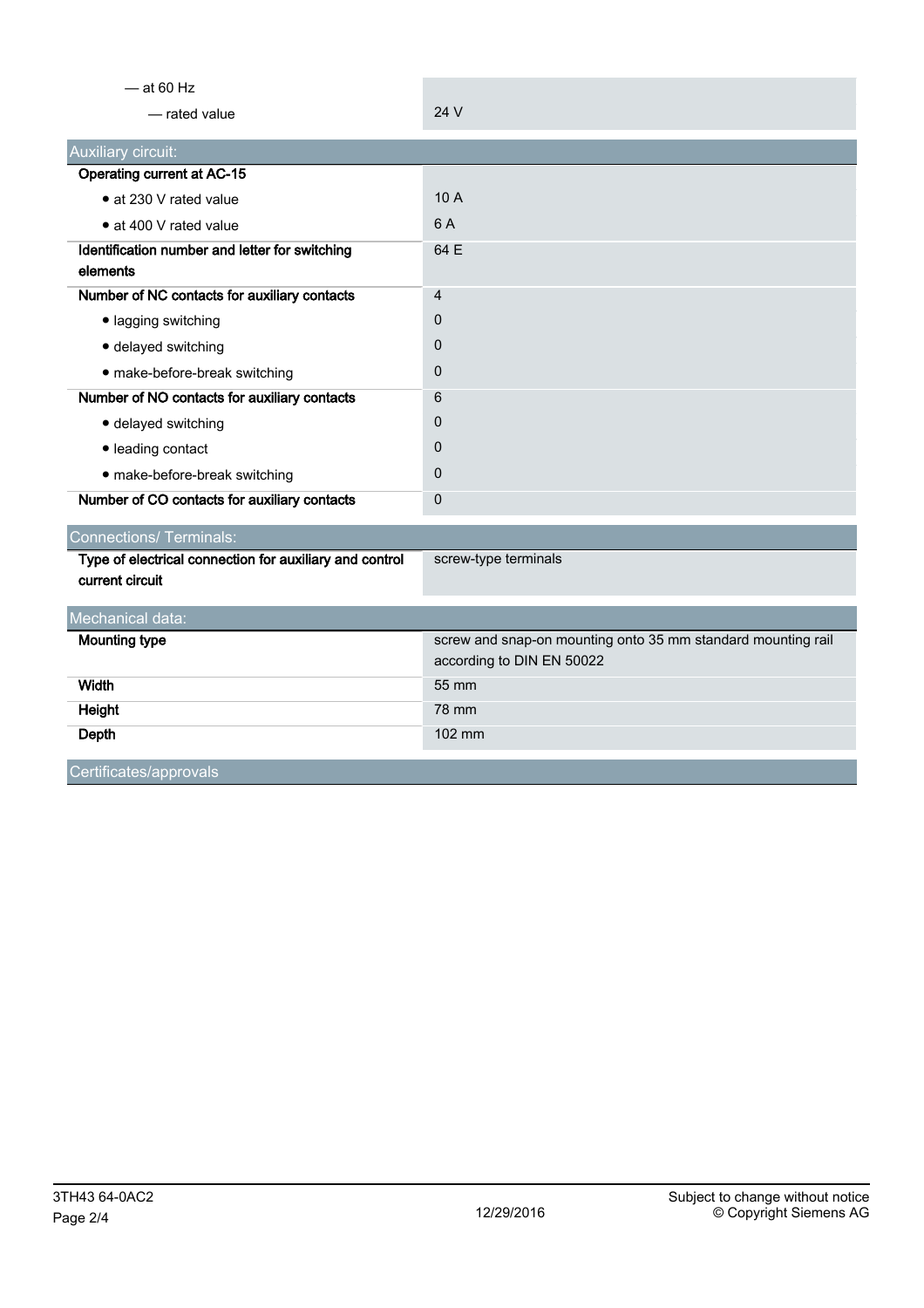| $-$ at 60 Hz                                               |                                                                                           |
|------------------------------------------------------------|-------------------------------------------------------------------------------------------|
| - rated value                                              | 24 V                                                                                      |
| Auxiliary circuit:                                         |                                                                                           |
| <b>Operating current at AC-15</b>                          |                                                                                           |
| • at 230 V rated value                                     | 10A                                                                                       |
| • at 400 V rated value                                     | 6 A                                                                                       |
| Identification number and letter for switching<br>elements | 64 E                                                                                      |
| Number of NC contacts for auxiliary contacts               | 4                                                                                         |
| · lagging switching                                        | 0                                                                                         |
| · delayed switching                                        | $\Omega$                                                                                  |
| · make-before-break switching                              | 0                                                                                         |
| Number of NO contacts for auxiliary contacts               | 6                                                                                         |
| · delayed switching                                        | 0                                                                                         |
| · leading contact                                          | 0                                                                                         |
| · make-before-break switching                              | 0                                                                                         |
| Number of CO contacts for auxiliary contacts               | 0                                                                                         |
| <b>Connections/ Terminals:</b>                             |                                                                                           |
| Type of electrical connection for auxiliary and control    | screw-type terminals                                                                      |
| current circuit                                            |                                                                                           |
| Mechanical data:                                           |                                                                                           |
| <b>Mounting type</b>                                       | screw and snap-on mounting onto 35 mm standard mounting rail<br>according to DIN EN 50022 |
| <b>Width</b>                                               | 55 mm                                                                                     |
| Height                                                     | 78 mm                                                                                     |
| Depth                                                      | 102 mm                                                                                    |
|                                                            |                                                                                           |

Certificates/approvals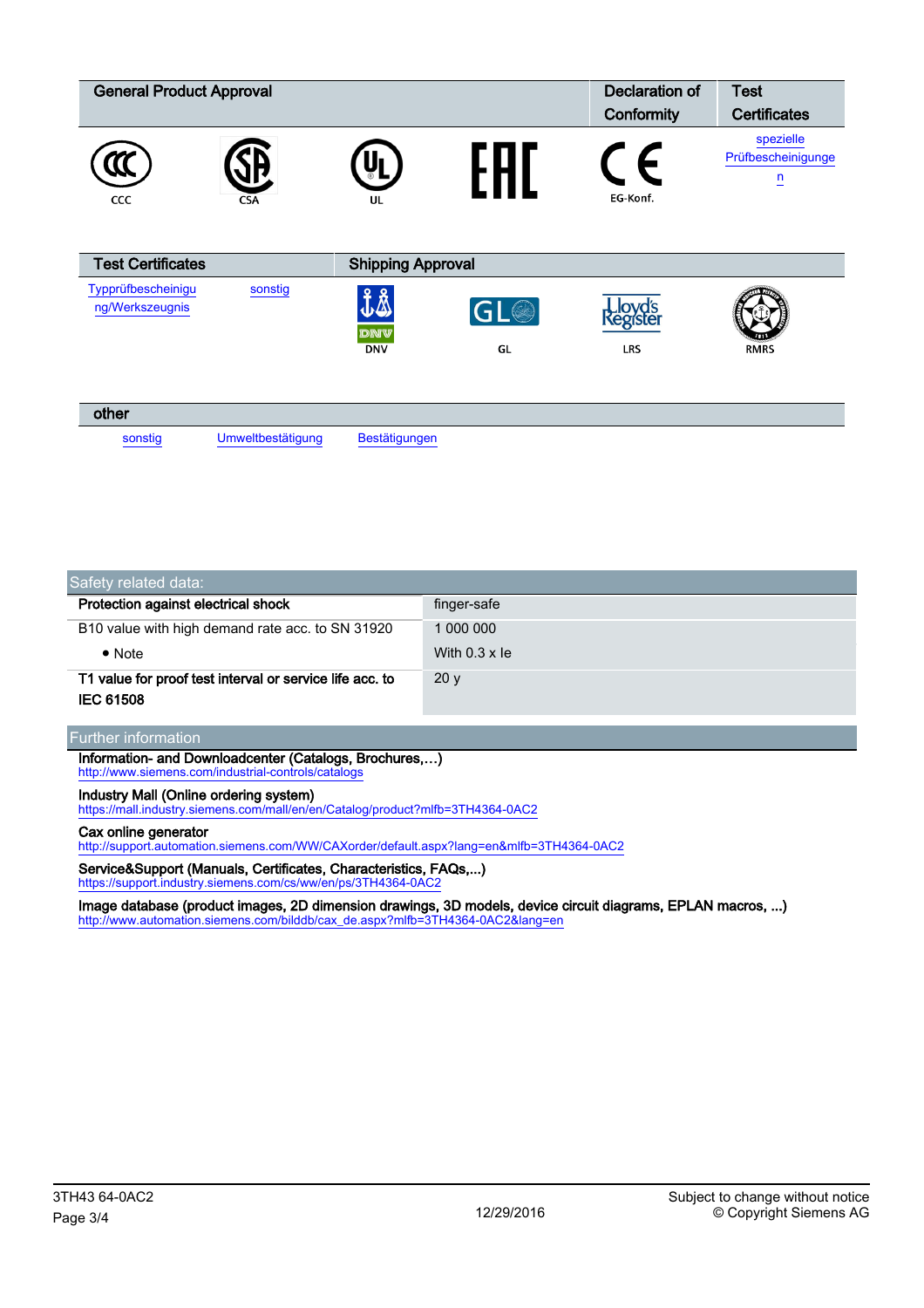| <b>General Product Approval</b>       |            |                          |             | Declaration of                | <b>Test</b>                                                      |
|---------------------------------------|------------|--------------------------|-------------|-------------------------------|------------------------------------------------------------------|
|                                       |            |                          |             | Conformity                    | <b>Certificates</b>                                              |
| CCC                                   | <b>CSA</b> | U<br>UL                  |             | EG-Konf.                      | spezielle<br>Prüfbescheinigunge<br>n<br>$\overline{\phantom{0}}$ |
| <b>Test Certificates</b>              |            | <b>Shipping Approval</b> |             |                               |                                                                  |
| Typprüfbescheinigu<br>ng/Werkszeugnis | sonstig    | J∆<br>DNV<br><b>DNV</b>  | GL(3)<br>GL | <b>Kegister</b><br><b>LRS</b> | <b>RMRS</b>                                                      |

| other   |                   |               |  |
|---------|-------------------|---------------|--|
| sonstig | Umweltbestätigung | Bestätigungen |  |

| Safety related data:                                     |                      |  |  |
|----------------------------------------------------------|----------------------|--|--|
| Protection against electrical shock                      | finger-safe          |  |  |
| B10 value with high demand rate acc. to SN 31920         | 1 000 000            |  |  |
| $\bullet$ Note                                           | With $0.3 \times$ le |  |  |
| T1 value for proof test interval or service life acc. to | 20y                  |  |  |
| <b>IEC 61508</b>                                         |                      |  |  |

## Further information

Information- and Downloadcenter (Catalogs, Brochures,…) <http://www.siemens.com/industrial-controls/catalogs>

### Industry Mall (Online ordering system)

<https://mall.industry.siemens.com/mall/en/en/Catalog/product?mlfb=3TH4364-0AC2>

#### Cax online generator

<http://support.automation.siemens.com/WW/CAXorder/default.aspx?lang=en&mlfb=3TH4364-0AC2>

Service&Support (Manuals, Certificates, Characteristics, FAQs,...) https://support.industry.siemens.com/cs/ww/en/ps/3TH4364-0AC

Image database (product images, 2D dimension drawings, 3D models, device circuit diagrams, EPLAN macros, ...) [http://www.automation.siemens.com/bilddb/cax\\_de.aspx?mlfb=3TH4364-0AC2&lang=en](http://www.automation.siemens.com/bilddb/cax_de.aspx?mlfb=3TH4364-0AC2&lang=en)